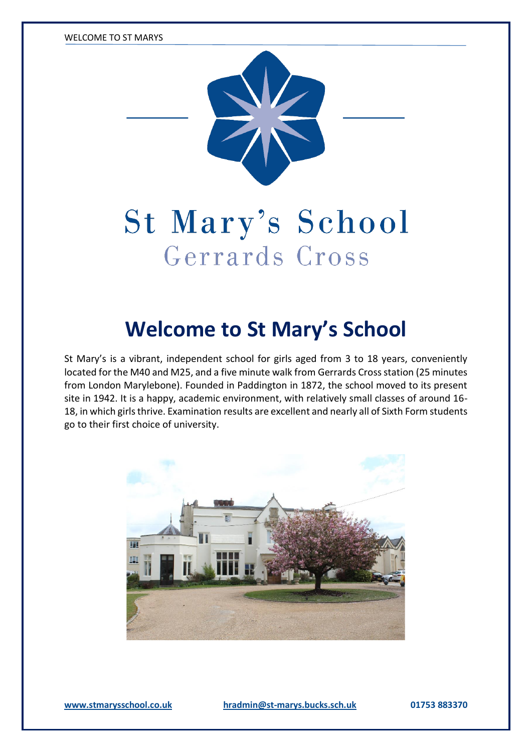WELCOME TO ST MARYS



# St Mary's School Gerrards Cross

## **Welcome to St Mary's School**

St Mary's is a vibrant, independent school for girls aged from 3 to 18 years, conveniently located for the M40 and M25, and a five minute walk from Gerrards Cross station (25 minutes from London Marylebone). Founded in Paddington in 1872, the school moved to its present site in 1942. It is a happy, academic environment, with relatively small classes of around 16- 18, in which girls thrive. Examination results are excellent and nearly all of Sixth Form students go to their first choice of university.

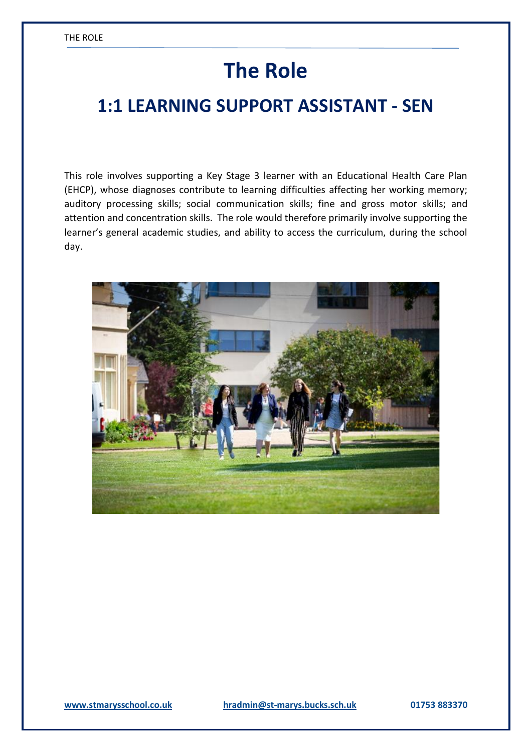## **The Role**

### **1:1 LEARNING SUPPORT ASSISTANT - SEN**

This role involves supporting a Key Stage 3 learner with an Educational Health Care Plan (EHCP), whose diagnoses contribute to learning difficulties affecting her working memory; auditory processing skills; social communication skills; fine and gross motor skills; and attention and concentration skills. The role would therefore primarily involve supporting the learner's general academic studies, and ability to access the curriculum, during the school day.

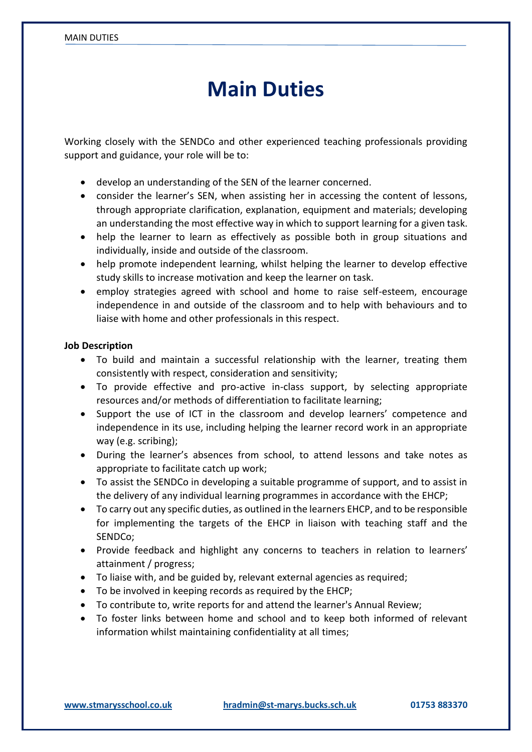### **Main Duties**

Working closely with the SENDCo and other experienced teaching professionals providing support and guidance, your role will be to:

- develop an understanding of the SEN of the learner concerned.
- consider the learner's SEN, when assisting her in accessing the content of lessons, through appropriate clarification, explanation, equipment and materials; developing an understanding the most effective way in which to support learning for a given task.
- help the learner to learn as effectively as possible both in group situations and individually, inside and outside of the classroom.
- help promote independent learning, whilst helping the learner to develop effective study skills to increase motivation and keep the learner on task.
- employ strategies agreed with school and home to raise self-esteem, encourage independence in and outside of the classroom and to help with behaviours and to liaise with home and other professionals in this respect.

#### **Job Description**

- To build and maintain a successful relationship with the learner, treating them consistently with respect, consideration and sensitivity;
- To provide effective and pro-active in-class support, by selecting appropriate resources and/or methods of differentiation to facilitate learning;
- Support the use of ICT in the classroom and develop learners' competence and independence in its use, including helping the learner record work in an appropriate way (e.g. scribing);
- During the learner's absences from school, to attend lessons and take notes as appropriate to facilitate catch up work;
- To assist the SENDCo in developing a suitable programme of support, and to assist in the delivery of any individual learning programmes in accordance with the EHCP;
- To carry out any specific duties, as outlined in the learners EHCP, and to be responsible for implementing the targets of the EHCP in liaison with teaching staff and the SENDCo;
- Provide feedback and highlight any concerns to teachers in relation to learners' attainment / progress;
- To liaise with, and be guided by, relevant external agencies as required;
- To be involved in keeping records as required by the EHCP;
- To contribute to, write reports for and attend the learner's Annual Review;
- To foster links between home and school and to keep both informed of relevant information whilst maintaining confidentiality at all times;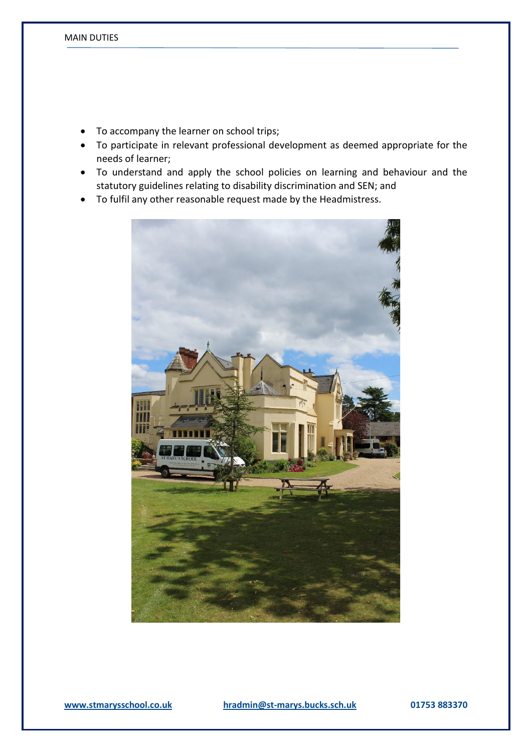- To accompany the learner on school trips;
- To participate in relevant professional development as deemed appropriate for the needs of learner;
- To understand and apply the school policies on learning and behaviour and the statutory guidelines relating to disability discrimination and SEN; and
- To fulfil any other reasonable request made by the Headmistress.

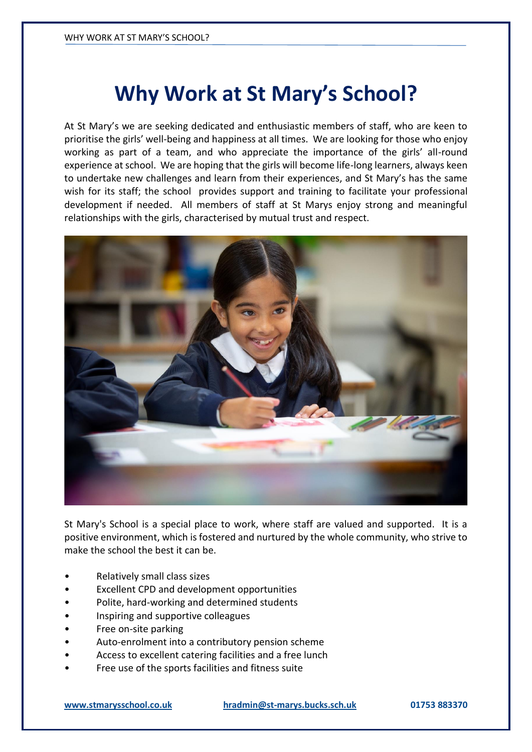## **Why Work at St Mary's School?**

At St Mary's we are seeking dedicated and enthusiastic members of staff, who are keen to prioritise the girls' well-being and happiness at all times. We are looking for those who enjoy working as part of a team, and who appreciate the importance of the girls' all-round experience at school. We are hoping that the girls will become life-long learners, always keen to undertake new challenges and learn from their experiences, and St Mary's has the same wish for its staff; the school provides support and training to facilitate your professional development if needed. All members of staff at St Marys enjoy strong and meaningful relationships with the girls, characterised by mutual trust and respect.



St Mary's School is a special place to work, where staff are valued and supported. It is a positive environment, which is fostered and nurtured by the whole community, who strive to make the school the best it can be.

- Relatively small class sizes
- Excellent CPD and development opportunities
- Polite, hard-working and determined students
- Inspiring and supportive colleagues
- Free on-site parking
- Auto-enrolment into a contributory pension scheme
- Access to excellent catering facilities and a free lunch
- Free use of the sports facilities and fitness suite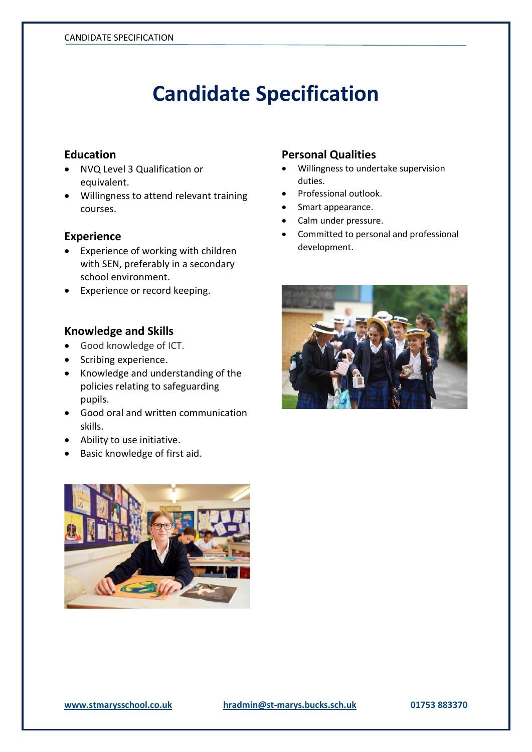## **Candidate Specification**

#### **Education**

- NVQ Level 3 Qualification or equivalent.
- Willingness to attend relevant training courses.

#### **Experience**

- Experience of working with children with SEN, preferably in a secondary school environment.
- Experience or record keeping.

#### **Knowledge and Skills**

- Good knowledge of ICT.
- Scribing experience.
- Knowledge and understanding of the policies relating to safeguarding pupils.
- Good oral and written communication skills.
- Ability to use initiative.
- Basic knowledge of first aid.



#### **Personal Qualities**

- Willingness to undertake supervision duties.
- Professional outlook.
- Smart appearance.
- Calm under pressure.
- Committed to personal and professional development.